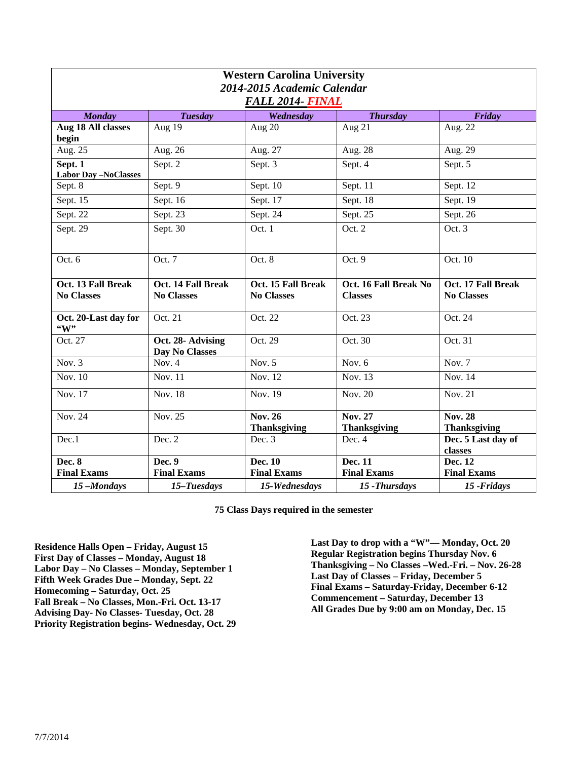| <b>Western Carolina University</b><br>2014-2015 Academic Calendar<br><b>FALL 2014- FINAL</b> |                                         |                                         |                                         |                                         |  |  |
|----------------------------------------------------------------------------------------------|-----------------------------------------|-----------------------------------------|-----------------------------------------|-----------------------------------------|--|--|
| <b>Monday</b>                                                                                | <b>Tuesday</b>                          | Wednesday                               | <b>Thursday</b>                         | Friday                                  |  |  |
| Aug 18 All classes<br>begin                                                                  | Aug 19                                  | Aug 20                                  | Aug 21                                  | Aug. $2\overline{2}$                    |  |  |
| Aug. 25                                                                                      | Aug. 26                                 | Aug. 27                                 | Aug. 28                                 | Aug. 29                                 |  |  |
| Sept. 1<br><b>Labor Day -NoClasses</b>                                                       | Sept. 2                                 | Sept. 3                                 | Sept. 4                                 | Sept. 5                                 |  |  |
| Sept. 8                                                                                      | Sept. 9                                 | Sept. 10                                | Sept. 11                                | Sept. 12                                |  |  |
| Sept. 15                                                                                     | Sept. 16                                | Sept. 17                                | Sept. 18                                | Sept. 19                                |  |  |
| Sept. 22                                                                                     | Sept. 23                                | Sept. 24                                | Sept. 25                                | Sept. 26                                |  |  |
| Sept. 29                                                                                     | Sept. 30                                | Oct. 1                                  | Oct. 2                                  | Oct.3                                   |  |  |
| Oct. 6                                                                                       | Oct. 7                                  | Oct. 8                                  | Oct. 9                                  | Oct. 10                                 |  |  |
| Oct. 13 Fall Break<br><b>No Classes</b>                                                      | Oct. 14 Fall Break<br><b>No Classes</b> | Oct. 15 Fall Break<br><b>No Classes</b> | Oct. 16 Fall Break No<br><b>Classes</b> | Oct. 17 Fall Break<br><b>No Classes</b> |  |  |
| Oct. 20-Last day for<br>$\mathbf{``W''}$                                                     | Oct. 21                                 | Oct. 22                                 | Oct. 23                                 | Oct. 24                                 |  |  |
| Oct. 27                                                                                      | Oct. 28- Advising<br>Day No Classes     | Oct. 29                                 | Oct. 30                                 | Oct. 31                                 |  |  |
| Nov. $3$                                                                                     | Nov. $4$                                | Nov. $5$                                | Nov. $6$                                | Nov. $7$                                |  |  |
| Nov. $10$                                                                                    | Nov. 11                                 | <b>Nov. 12</b>                          | Nov. 13                                 | Nov. 14                                 |  |  |
| <b>Nov. 17</b>                                                                               | <b>Nov. 18</b>                          | <b>Nov. 19</b>                          | Nov. 20                                 | Nov. $21$                               |  |  |
| Nov. 24                                                                                      | Nov. 25                                 | <b>Nov. 26</b><br><b>Thanksgiving</b>   | <b>Nov. 27</b><br><b>Thanksgiving</b>   | <b>Nov. 28</b><br><b>Thanksgiving</b>   |  |  |
| Dec.1                                                                                        | Dec. 2                                  | Dec. 3                                  | Dec. 4                                  | Dec. 5 Last day of<br>classes           |  |  |
| <b>Dec. 8</b><br><b>Final Exams</b>                                                          | Dec. 9<br><b>Final Exams</b>            | Dec. 10<br><b>Final Exams</b>           | Dec. 11<br><b>Final Exams</b>           | Dec. 12<br><b>Final Exams</b>           |  |  |
| 15-Mondays                                                                                   | 15-Tuesdays                             | 15-Wednesdays                           | 15 - Thursdays                          | 15 - Fridays                            |  |  |
|                                                                                              |                                         |                                         |                                         |                                         |  |  |

**75 Class Days required in the semester** 

**Residence Halls Open – Friday, August 15 First Day of Classes – Monday, August 18 Labor Day – No Classes – Monday, September 1 Fifth Week Grades Due – Monday, Sept. 22 Homecoming – Saturday, Oct. 25 Fall Break – No Classes, Mon.-Fri. Oct. 13-17 Advising Day- No Classes- Tuesday, Oct. 28 Priority Registration begins- Wednesday, Oct. 29**  **Last Day to drop with a "W"— Monday, Oct. 20 Regular Registration begins Thursday Nov. 6 Thanksgiving – No Classes –Wed.-Fri. – Nov. 26-28 Last Day of Classes – Friday, December 5 Final Exams – Saturday-Friday, December 6-12 Commencement – Saturday, December 13 All Grades Due by 9:00 am on Monday, Dec. 15**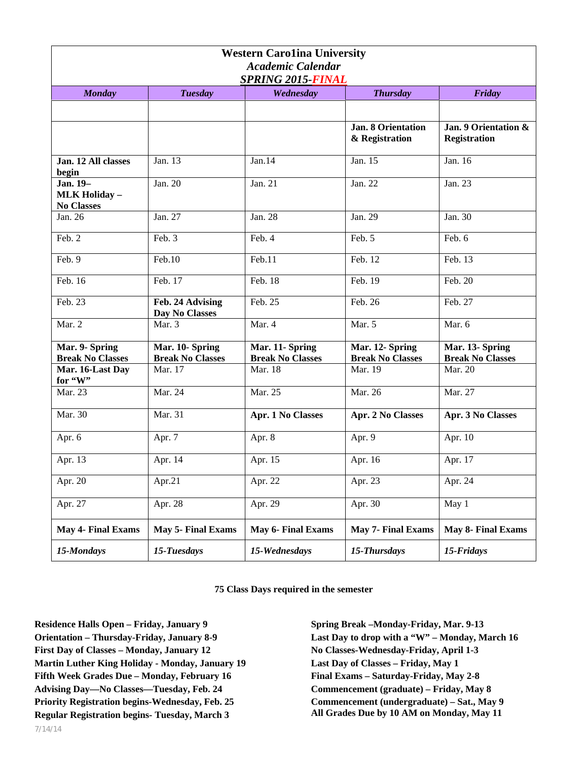| <b>Western Carolina University</b><br><b>Academic Calendar</b><br><b>SPRING 2015-FINAL</b> |                                            |                                            |                                             |                                             |  |
|--------------------------------------------------------------------------------------------|--------------------------------------------|--------------------------------------------|---------------------------------------------|---------------------------------------------|--|
| <b>Monday</b>                                                                              | <b>Tuesday</b>                             | Wednesday                                  | <b>Thursday</b>                             | Friday                                      |  |
|                                                                                            |                                            |                                            |                                             |                                             |  |
|                                                                                            |                                            |                                            | <b>Jan. 8 Orientation</b><br>& Registration | Jan. 9 Orientation &<br><b>Registration</b> |  |
| Jan. 12 All classes<br>begin                                                               | Jan. 13                                    | Jan.14                                     | Jan. 15                                     | Jan. 16                                     |  |
| Jan. 19-<br><b>MLK Holiday -</b><br><b>No Classes</b>                                      | Jan. 20                                    | Jan. 21                                    | Jan. 22                                     | Jan. 23                                     |  |
| Jan. 26                                                                                    | Jan. 27                                    | Jan. 28                                    | Jan. 29                                     | Jan. 30                                     |  |
| Feb. 2                                                                                     | Feb. 3                                     | Feb. 4                                     | Feb. 5                                      | Feb. 6                                      |  |
| Feb. 9                                                                                     | Feb.10                                     | Feb.11                                     | Feb. 12                                     | Feb. 13                                     |  |
| Feb. 16                                                                                    | Feb. 17                                    | Feb. 18                                    | Feb. 19                                     | Feb. 20                                     |  |
| Feb. 23                                                                                    | Feb. 24 Advising<br>Day No Classes         | Feb. 25                                    | Feb. 26                                     | Feb. 27                                     |  |
| Mar. 2                                                                                     | Mar. 3                                     | Mar. 4                                     | Mar. 5                                      | Mar. 6                                      |  |
| Mar. 9- Spring<br><b>Break No Classes</b>                                                  | Mar. 10- Spring<br><b>Break No Classes</b> | Mar. 11- Spring<br><b>Break No Classes</b> | Mar. 12- Spring<br><b>Break No Classes</b>  | Mar. 13- Spring<br><b>Break No Classes</b>  |  |
| Mar. 16-Last Day<br>for "W"                                                                | Mar. 17                                    | Mar. 18                                    | Mar. 19                                     | Mar. 20                                     |  |
| Mar. 23                                                                                    | Mar. 24                                    | Mar. 25                                    | Mar. 26                                     | Mar. 27                                     |  |
| Mar. 30                                                                                    | Mar. 31                                    | Apr. 1 No Classes                          | Apr. 2 No Classes                           | Apr. 3 No Classes                           |  |
| Apr. 6                                                                                     | Apr. 7                                     | Apr. 8                                     | Apr. 9                                      | Apr. 10                                     |  |
| Apr. 13                                                                                    | Apr. 14                                    | Apr. 15                                    | Apr. 16                                     | Apr. 17                                     |  |
| Apr. 20                                                                                    | Apr.21                                     | Apr. 22                                    | Apr. 23                                     | Apr. 24                                     |  |
| Apr. 27                                                                                    | Apr. $28$                                  | Apr. 29                                    | Apr. 30                                     | May 1                                       |  |
| <b>May 4- Final Exams</b>                                                                  | May 5- Final Exams                         | May 6- Final Exams                         | May 7- Final Exams                          | May 8- Final Exams                          |  |
| 15-Mondays                                                                                 | 15-Tuesdays                                | 15-Wednesdays                              | 15-Thursdays                                | 15-Fridays                                  |  |

**75 Class Days required in the semester** 

**Residence Halls Open – Friday, January 9 Orientation – Thursday-Friday, January 8-9 First Day of Classes – Monday, January 12 Martin Luther King Holiday - Monday, January 19 Fifth Week Grades Due – Monday, February 16 Advising Day—No Classes—Tuesday, Feb. 24 Priority Registration begins-Wednesday, Feb. 25 Regular Registration begins- Tuesday, March 3** 

**Spring Break –Monday-Friday, Mar. 9-13 Last Day to drop with a "W" – Monday, March 16 No Classes-Wednesday-Friday, April 1-3 Last Day of Classes – Friday, May 1 Final Exams – Saturday-Friday, May 2-8 Commencement (graduate) – Friday, May 8 Commencement (undergraduate) – Sat., May 9 All Grades Due by 10 AM on Monday, May 11**